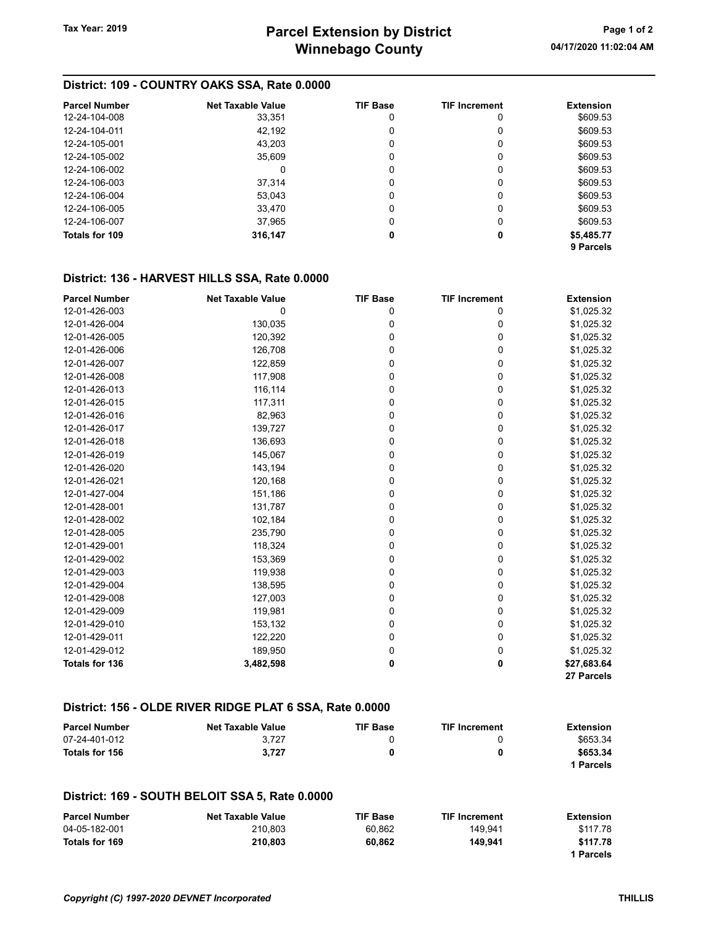## District: 109 - COUNTRY OAKS SSA, Rate 0.0000

| <b>Parcel Number</b> | <b>Net Taxable Value</b> | <b>TIF Base</b> | <b>TIF Increment</b> | <b>Extension</b> |
|----------------------|--------------------------|-----------------|----------------------|------------------|
| 12-24-104-008        | 33,351                   | 0               | 0                    | \$609.53         |
| 12-24-104-011        | 42,192                   |                 | 0                    | \$609.53         |
| 12-24-105-001        | 43,203                   | 0               | 0                    | \$609.53         |
| 12-24-105-002        | 35,609                   | 0               | 0                    | \$609.53         |
| 12-24-106-002        | 0                        | 0               | 0                    | \$609.53         |
| 12-24-106-003        | 37.314                   | 0               | 0                    | \$609.53         |
| 12-24-106-004        | 53,043                   | 0               | 0                    | \$609.53         |
| 12-24-106-005        | 33.470                   | 0               | 0                    | \$609.53         |
| 12-24-106-007        | 37,965                   | 0               | 0                    | \$609.53         |
| Totals for 109       | 316,147                  | 0               | 0                    | \$5,485.77       |
|                      |                          |                 |                      | 9 Parcels        |

## District: 136 - HARVEST HILLS SSA, Rate 0.0000

| <b>Parcel Number</b>  | <b>Net Taxable Value</b> | <b>TIF Base</b> | <b>TIF Increment</b> | <b>Extension</b> |
|-----------------------|--------------------------|-----------------|----------------------|------------------|
| 12-01-426-003         | 0                        | 0               | 0                    | \$1,025.32       |
| 12-01-426-004         | 130,035                  | 0               | 0                    | \$1,025.32       |
| 12-01-426-005         | 120,392                  | 0               | 0                    | \$1,025.32       |
| 12-01-426-006         | 126,708                  | 0               | 0                    | \$1,025.32       |
| 12-01-426-007         | 122,859                  | 0               | 0                    | \$1,025.32       |
| 12-01-426-008         | 117,908                  | 0               | 0                    | \$1,025.32       |
| 12-01-426-013         | 116,114                  | 0               | 0                    | \$1,025.32       |
| 12-01-426-015         | 117,311                  | 0               | 0                    | \$1,025.32       |
| 12-01-426-016         | 82,963                   | 0               | 0                    | \$1,025.32       |
| 12-01-426-017         | 139,727                  | 0               | 0                    | \$1,025.32       |
| 12-01-426-018         | 136,693                  | 0               | 0                    | \$1,025.32       |
| 12-01-426-019         | 145,067                  | 0               | 0                    | \$1,025.32       |
| 12-01-426-020         | 143,194                  | 0               | 0                    | \$1,025.32       |
| 12-01-426-021         | 120,168                  | 0               | 0                    | \$1,025.32       |
| 12-01-427-004         | 151,186                  | 0               | 0                    | \$1,025.32       |
| 12-01-428-001         | 131,787                  | 0               | 0                    | \$1,025.32       |
| 12-01-428-002         | 102,184                  | 0               | 0                    | \$1,025.32       |
| 12-01-428-005         | 235,790                  | 0               | 0                    | \$1,025.32       |
| 12-01-429-001         | 118,324                  | 0               | 0                    | \$1,025.32       |
| 12-01-429-002         | 153,369                  | 0               | 0                    | \$1,025.32       |
| 12-01-429-003         | 119,938                  | 0               | 0                    | \$1,025.32       |
| 12-01-429-004         | 138,595                  | 0               | 0                    | \$1,025.32       |
| 12-01-429-008         | 127,003                  | 0               | 0                    | \$1,025.32       |
| 12-01-429-009         | 119,981                  | 0               | 0                    | \$1,025.32       |
| 12-01-429-010         | 153,132                  | 0               | 0                    | \$1,025.32       |
| 12-01-429-011         | 122,220                  | 0               | 0                    | \$1,025.32       |
| 12-01-429-012         | 189,950                  | 0               | 0                    | \$1,025.32       |
| <b>Totals for 136</b> | 3,482,598                | 0               | 0                    | \$27,683.64      |
|                       |                          |                 |                      | 27 Parcels       |

## District: 156 - OLDE RIVER RIDGE PLAT 6 SSA, Rate 0.0000

| <b>Parcel Number</b> | <b>Net Taxable Value</b> | <b>TIF Base</b> | <b>TIF Increment</b> | <b>Extension</b> |
|----------------------|--------------------------|-----------------|----------------------|------------------|
| 07-24-401-012        | 3.727                    |                 |                      | \$653.34         |
| Totals for 156       | 3.727                    |                 | 0                    | \$653.34         |
|                      |                          |                 |                      | 1 Parcels        |

#### District: 169 - SOUTH BELOIT SSA 5, Rate 0.0000

| <b>Parcel Number</b> | <b>Net Taxable Value</b> | <b>TIF Base</b> | <b>TIF Increment</b> | Extension |
|----------------------|--------------------------|-----------------|----------------------|-----------|
| 04-05-182-001        | 210.803                  | 60.862          | 149.941              | \$117.78  |
| Totals for 169       | 210.803                  | 60.862          | 149.941              | \$117.78  |
|                      |                          |                 |                      | 1 Parcels |